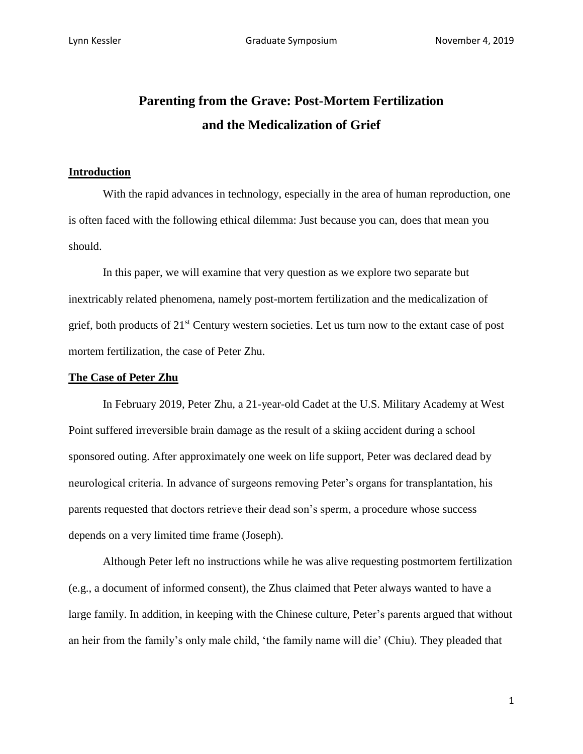# **Parenting from the Grave: Post-Mortem Fertilization and the Medicalization of Grief**

## **Introduction**

With the rapid advances in technology, especially in the area of human reproduction, one is often faced with the following ethical dilemma: Just because you can, does that mean you should.

In this paper, we will examine that very question as we explore two separate but inextricably related phenomena, namely post-mortem fertilization and the medicalization of grief, both products of 21st Century western societies. Let us turn now to the extant case of post mortem fertilization, the case of Peter Zhu.

### **The Case of Peter Zhu**

In February 2019, Peter Zhu, a 21-year-old Cadet at the U.S. Military Academy at West Point suffered irreversible brain damage as the result of a skiing accident during a school sponsored outing. After approximately one week on life support, Peter was declared dead by neurological criteria. In advance of surgeons removing Peter's organs for transplantation, his parents requested that doctors retrieve their dead son's sperm, a procedure whose success depends on a very limited time frame (Joseph).

Although Peter left no instructions while he was alive requesting postmortem fertilization (e.g., a document of informed consent), the Zhus claimed that Peter always wanted to have a large family. In addition, in keeping with the Chinese culture, Peter's parents argued that without an heir from the family's only male child, 'the family name will die' (Chiu). They pleaded that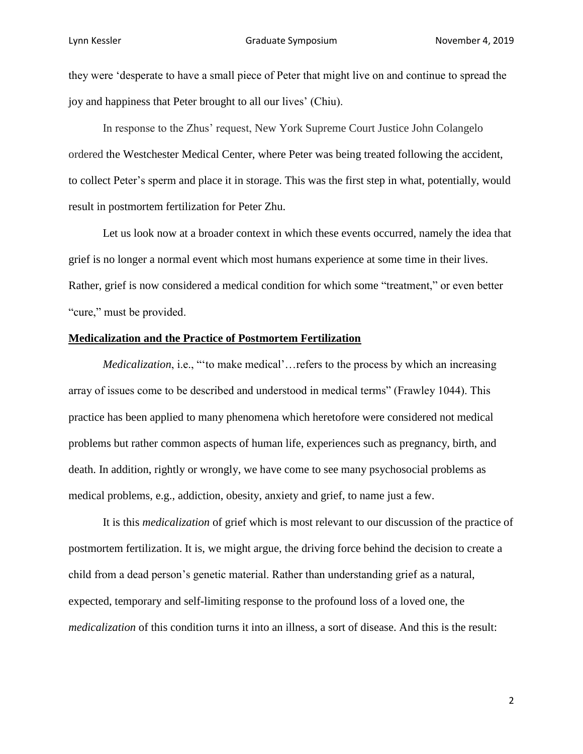they were 'desperate to have a small piece of Peter that might live on and continue to spread the joy and happiness that Peter brought to all our lives' (Chiu).

In response to the Zhus' request, New York Supreme Court Justice John Colangelo ordered the Westchester Medical Center, where Peter was being treated following the accident, to collect Peter's sperm and place it in storage. This was the first step in what, potentially, would result in postmortem fertilization for Peter Zhu.

Let us look now at a broader context in which these events occurred, namely the idea that grief is no longer a normal event which most humans experience at some time in their lives. Rather, grief is now considered a medical condition for which some "treatment," or even better "cure," must be provided.

#### **Medicalization and the Practice of Postmortem Fertilization**

*Medicalization*, i.e., ""to make medical'... refers to the process by which an increasing array of issues come to be described and understood in medical terms" (Frawley 1044). This practice has been applied to many phenomena which heretofore were considered not medical problems but rather common aspects of human life, experiences such as pregnancy, birth, and death. In addition, rightly or wrongly, we have come to see many psychosocial problems as medical problems, e.g., addiction, obesity, anxiety and grief, to name just a few.

It is this *medicalization* of grief which is most relevant to our discussion of the practice of postmortem fertilization. It is, we might argue, the driving force behind the decision to create a child from a dead person's genetic material. Rather than understanding grief as a natural, expected, temporary and self-limiting response to the profound loss of a loved one, the *medicalization* of this condition turns it into an illness, a sort of disease. And this is the result: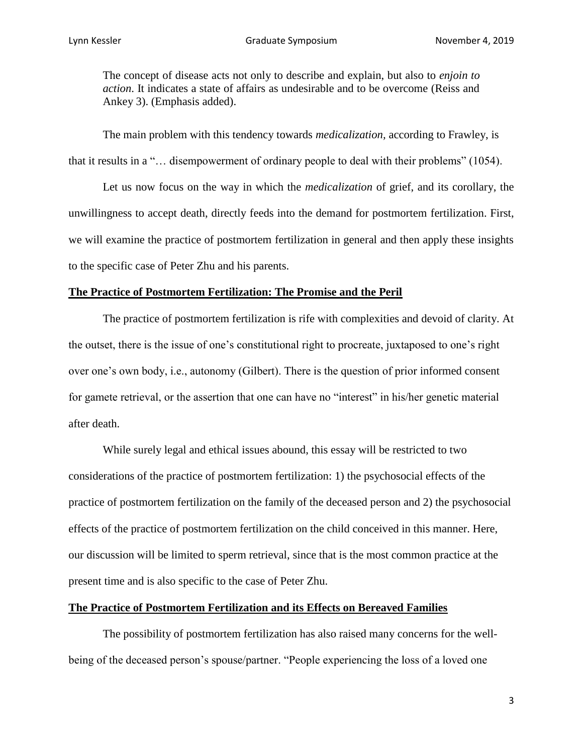The concept of disease acts not only to describe and explain, but also to *enjoin to action*. It indicates a state of affairs as undesirable and to be overcome (Reiss and Ankey 3). (Emphasis added).

The main problem with this tendency towards *medicalization,* according to Frawley, is that it results in a "… disempowerment of ordinary people to deal with their problems" (1054).

Let us now focus on the way in which the *medicalization* of grief, and its corollary, the unwillingness to accept death, directly feeds into the demand for postmortem fertilization. First, we will examine the practice of postmortem fertilization in general and then apply these insights to the specific case of Peter Zhu and his parents.

#### **The Practice of Postmortem Fertilization: The Promise and the Peril**

The practice of postmortem fertilization is rife with complexities and devoid of clarity. At the outset, there is the issue of one's constitutional right to procreate, juxtaposed to one's right over one's own body, i.e., autonomy (Gilbert). There is the question of prior informed consent for gamete retrieval, or the assertion that one can have no "interest" in his/her genetic material after death.

While surely legal and ethical issues abound, this essay will be restricted to two considerations of the practice of postmortem fertilization: 1) the psychosocial effects of the practice of postmortem fertilization on the family of the deceased person and 2) the psychosocial effects of the practice of postmortem fertilization on the child conceived in this manner. Here, our discussion will be limited to sperm retrieval, since that is the most common practice at the present time and is also specific to the case of Peter Zhu.

## **The Practice of Postmortem Fertilization and its Effects on Bereaved Families**

The possibility of postmortem fertilization has also raised many concerns for the wellbeing of the deceased person's spouse/partner. "People experiencing the loss of a loved one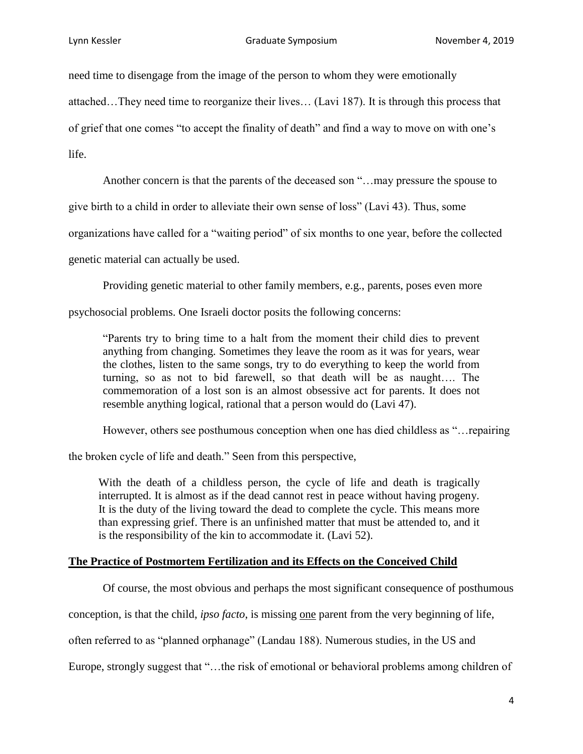need time to disengage from the image of the person to whom they were emotionally

attached…They need time to reorganize their lives… (Lavi 187). It is through this process that

of grief that one comes "to accept the finality of death" and find a way to move on with one's

life.

Another concern is that the parents of the deceased son "…may pressure the spouse to

give birth to a child in order to alleviate their own sense of loss" (Lavi 43). Thus, some

organizations have called for a "waiting period" of six months to one year, before the collected

genetic material can actually be used.

Providing genetic material to other family members, e.g., parents, poses even more

psychosocial problems. One Israeli doctor posits the following concerns:

"Parents try to bring time to a halt from the moment their child dies to prevent anything from changing. Sometimes they leave the room as it was for years, wear the clothes, listen to the same songs, try to do everything to keep the world from turning, so as not to bid farewell, so that death will be as naught…. The commemoration of a lost son is an almost obsessive act for parents. It does not resemble anything logical, rational that a person would do (Lavi 47).

However, others see posthumous conception when one has died childless as "…repairing

the broken cycle of life and death." Seen from this perspective,

With the death of a childless person, the cycle of life and death is tragically interrupted. It is almost as if the dead cannot rest in peace without having progeny. It is the duty of the living toward the dead to complete the cycle. This means more than expressing grief. There is an unfinished matter that must be attended to, and it is the responsibility of the kin to accommodate it. (Lavi 52).

## **The Practice of Postmortem Fertilization and its Effects on the Conceived Child**

Of course, the most obvious and perhaps the most significant consequence of posthumous

conception, is that the child, *ipso facto*, is missing one parent from the very beginning of life,

often referred to as "planned orphanage" (Landau 188). Numerous studies, in the US and

Europe, strongly suggest that "…the risk of emotional or behavioral problems among children of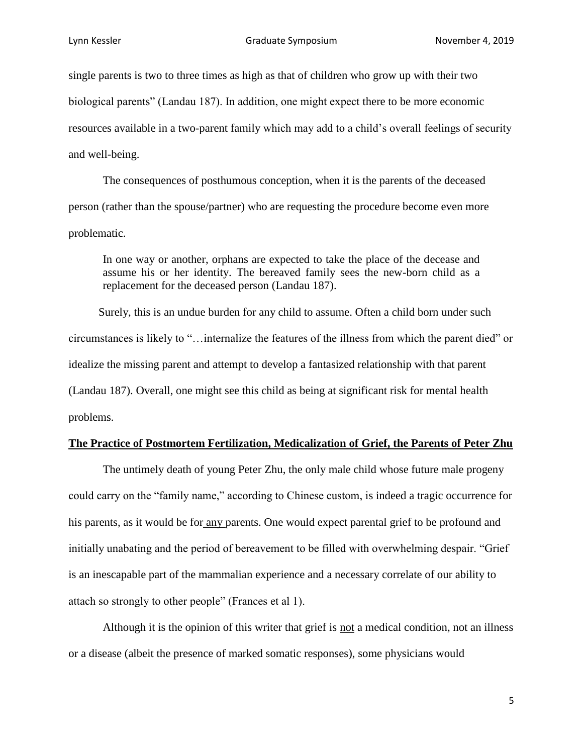single parents is two to three times as high as that of children who grow up with their two biological parents" (Landau 187). In addition, one might expect there to be more economic resources available in a two-parent family which may add to a child's overall feelings of security and well-being.

The consequences of posthumous conception, when it is the parents of the deceased person (rather than the spouse/partner) who are requesting the procedure become even more problematic.

In one way or another, orphans are expected to take the place of the decease and assume his or her identity. The bereaved family sees the new-born child as a replacement for the deceased person (Landau 187).

Surely, this is an undue burden for any child to assume. Often a child born under such circumstances is likely to "…internalize the features of the illness from which the parent died" or idealize the missing parent and attempt to develop a fantasized relationship with that parent (Landau 187). Overall, one might see this child as being at significant risk for mental health problems.

#### **The Practice of Postmortem Fertilization, Medicalization of Grief, the Parents of Peter Zhu**

The untimely death of young Peter Zhu, the only male child whose future male progeny could carry on the "family name," according to Chinese custom, is indeed a tragic occurrence for his parents, as it would be for any parents. One would expect parental grief to be profound and initially unabating and the period of bereavement to be filled with overwhelming despair. "Grief is an inescapable part of the mammalian experience and a necessary correlate of our ability to attach so strongly to other people" (Frances et al 1).

Although it is the opinion of this writer that grief is not a medical condition, not an illness or a disease (albeit the presence of marked somatic responses), some physicians would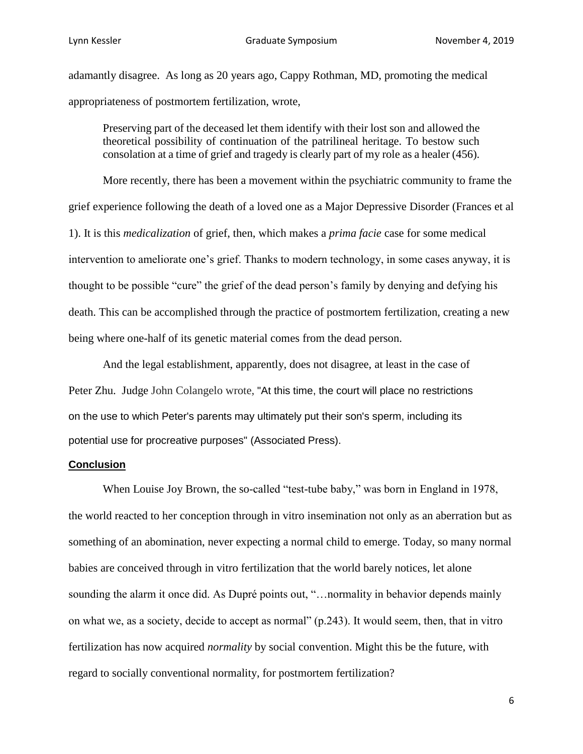adamantly disagree. As long as 20 years ago, Cappy Rothman, MD, promoting the medical appropriateness of postmortem fertilization, wrote,

Preserving part of the deceased let them identify with their lost son and allowed the theoretical possibility of continuation of the patrilineal heritage. To bestow such consolation at a time of grief and tragedy is clearly part of my role as a healer (456).

More recently, there has been a movement within the psychiatric community to frame the grief experience following the death of a loved one as a Major Depressive Disorder (Frances et al 1). It is this *medicalization* of grief, then, which makes a *prima facie* case for some medical intervention to ameliorate one's grief. Thanks to modern technology, in some cases anyway, it is thought to be possible "cure" the grief of the dead person's family by denying and defying his death. This can be accomplished through the practice of postmortem fertilization, creating a new being where one-half of its genetic material comes from the dead person.

And the legal establishment, apparently, does not disagree, at least in the case of Peter Zhu. Judge John Colangelo wrote, "At this time, the court will place no restrictions on the use to which Peter's parents may ultimately put their son's sperm, including its potential use for procreative purposes" (Associated Press).

#### **Conclusion**

When Louise Joy Brown, the so-called "test-tube baby," was born in England in 1978, the world reacted to her conception through in vitro insemination not only as an aberration but as something of an abomination, never expecting a normal child to emerge. Today, so many normal babies are conceived through in vitro fertilization that the world barely notices, let alone sounding the alarm it once did. As Dupré points out, "…normality in behavior depends mainly on what we, as a society, decide to accept as normal" (p.243). It would seem, then, that in vitro fertilization has now acquired *normality* by social convention. Might this be the future, with regard to socially conventional normality, for postmortem fertilization?